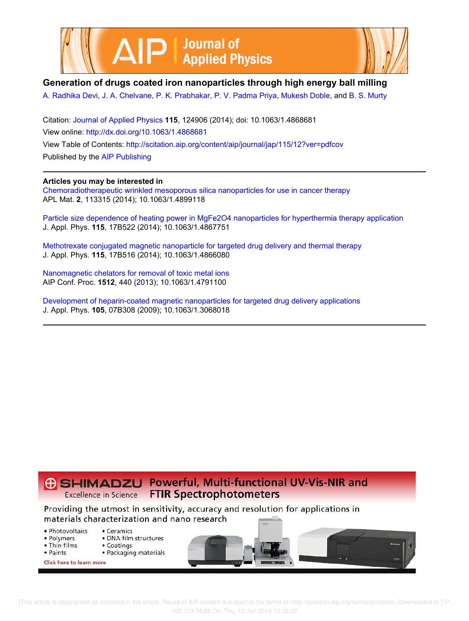



## **Generation of drugs coated iron nanoparticles through high energy ball milling**

A. Radhika Devi, J. A. Chelvane, P. K. Prabhakar, P. V. Padma Priya, Mukesh Doble, and B. S. Murty

Citation: Journal of Applied Physics **115**, 124906 (2014); doi: 10.1063/1.4868681 View online: http://dx.doi.org/10.1063/1.4868681 View Table of Contents: http://scitation.aip.org/content/aip/journal/jap/115/12?ver=pdfcov Published by the AIP Publishing

### **Articles you may be interested in**

Chemoradiotherapeutic wrinkled mesoporous silica nanoparticles for use in cancer therapy APL Mat. **2**, 113315 (2014); 10.1063/1.4899118

Particle size dependence of heating power in MgFe2O4 nanoparticles for hyperthermia therapy application J. Appl. Phys. **115**, 17B522 (2014); 10.1063/1.4867751

Methotrexate conjugated magnetic nanoparticle for targeted drug delivery and thermal therapy J. Appl. Phys. **115**, 17B516 (2014); 10.1063/1.4866080

Nanomagnetic chelators for removal of toxic metal ions AIP Conf. Proc. **1512**, 440 (2013); 10.1063/1.4791100

Development of heparin-coated magnetic nanoparticles for targeted drug delivery applications J. Appl. Phys. **105**, 07B308 (2009); 10.1063/1.3068018



 [This article is copyrighted as indicated in the article. Reuse of AIP content is subject to the terms at: http://scitation.aip.org/termsconditions. Downloaded to ] IP: 165.123.34.86 On: Thu, 15 Jan 2015 12:32:22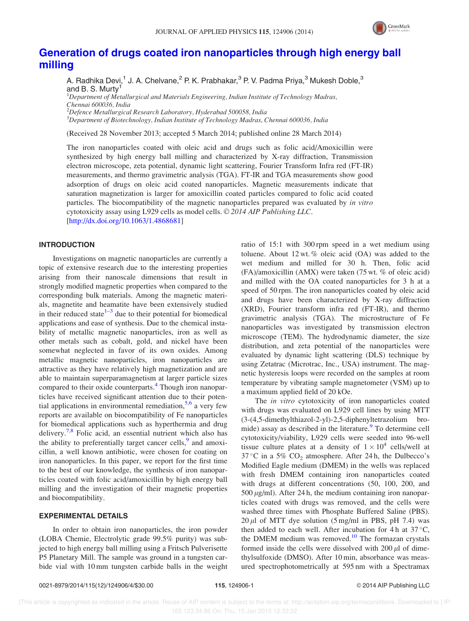

# Generation of drugs coated iron nanoparticles through high energy ball milling

A. Radhika Devi,<sup>1</sup> J. A. Chelvane,<sup>2</sup> P. K. Prabhakar,<sup>3</sup> P. V. Padma Priya,<sup>3</sup> Mukesh Doble,<sup>3</sup> and B. S. Murty<sup>1</sup>

 ${}^{1}$ Department of Metallurgical and Materials Engineering, Indian Institute of Technology Madras, Chennai 600036, India

 $^{2}$ Defence Metallurgical Research Laboratory, Hyderabad 500058, India

 $^3$ Department of Biotechnology, Indian Institute of Technology Madras, Chennai 600036, India

(Received 28 November 2013; accepted 5 March 2014; published online 28 March 2014)

The iron nanoparticles coated with oleic acid and drugs such as folic acid/Amoxicillin were synthesized by high energy ball milling and characterized by X-ray diffraction, Transmission electron microscope, zeta potential, dynamic light scattering, Fourier Transform Infra red (FT-IR) measurements, and thermo gravimetric analysis (TGA). FT-IR and TGA measurements show good adsorption of drugs on oleic acid coated nanoparticles. Magnetic measurements indicate that saturation magnetization is larger for amoxicillin coated particles compared to folic acid coated particles. The biocompatibility of the magnetic nanoparticles prepared was evaluated by in vitro cytotoxicity assay using L929 cells as model cells. © 2014 AIP Publishing LLC. [http://dx.doi.org/10.1063/1.4868681]

#### INTRODUCTION

Investigations on magnetic nanoparticles are currently a topic of extensive research due to the interesting properties arising from their nanoscale dimensions that result in strongly modified magnetic properties when compared to the corresponding bulk materials. Among the magnetic materials, magnetite and heamatite have been extensively studied in their reduced state $1-3$  due to their potential for biomedical applications and ease of synthesis. Due to the chemical instability of metallic magnetic nanoparticles, iron as well as other metals such as cobalt, gold, and nickel have been somewhat neglected in favor of its own oxides. Among metallic magnetic nanoparticles, iron nanoparticles are attractive as they have relatively high magnetization and are able to maintain superparamagnetism at larger particle sizes compared to their oxide counterparts.<sup>4</sup> Though iron nanoparticles have received significant attention due to their potential applications in environmental remediation,<sup>5,6</sup> a very few reports are available on biocompatibility of Fe nanoparticles for biomedical applications such as hyperthermia and drug delivery.<sup>7,8</sup> Folic acid, an essential nutrient which also has the ability to preferentially target cancer cells,<sup>9</sup> and amoxicillin, a well known antibiotic, were chosen for coating on iron nanoparticles. In this paper, we report for the first time to the best of our knowledge, the synthesis of iron nanoparticles coated with folic acid/amoxicillin by high energy ball milling and the investigation of their magnetic properties and biocompatibility.

#### EXPERIMENTAL DETAILS

In order to obtain iron nanoparticles, the iron powder (LOBA Chemie, Electrolytic grade 99.5% purity) was subjected to high energy ball milling using a Fritsch Pulverisette P5 Planetary Mill. The sample was ground in a tungsten carbide vial with 10 mm tungsten carbide balls in the weight ratio of 15:1 with 300 rpm speed in a wet medium using toluene. About 12 wt. % oleic acid (OA) was added to the wet medium and milled for 30 h. Then, folic acid (FA)/amoxicillin (AMX) were taken (75 wt. % of oleic acid) and milled with the OA coated nanoparticles for 3 h at a speed of 50 rpm. The iron nanoparticles coated by oleic acid and drugs have been characterized by X-ray diffraction (XRD), Fourier transform infra red (FT-IR), and thermo gravimetric analysis (TGA). The microstructure of Fe nanoparticles was investigated by transmission electron microscope (TEM). The hydrodynamic diameter, the size distribution, and zeta potential of the nanoparticles were evaluated by dynamic light scattering (DLS) technique by using Zetatrac (Microtrac, Inc., USA) instrument. The magnetic hysteresis loops were recorded on the samples at room temperature by vibrating sample magnetometer (VSM) up to a maximum applied field of 20 kOe.

The *in vitro* cytotoxicity of iron nanoparticles coated with drugs was evaluated on L929 cell lines by using MTT (3-(4,5-dimethylthiazol-2-yl)-2,5-diphenyltetrazolium bromide) assay as described in the literature.<sup>9</sup> To determine cell cytotoxicity/viability, L929 cells were seeded into 96-well tissue culture plates at a density of  $1 \times 10^4$  cells/well at 37 °C in a 5%  $CO<sub>2</sub>$  atmosphere. After 24 h, the Dulbecco's Modified Eagle medium (DMEM) in the wells was replaced with fresh DMEM containing iron nanoparticles coated with drugs at different concentrations (50, 100, 200, and  $500 \mu g/ml$ ). After 24 h, the medium containing iron nanoparticles coated with drugs was removed, and the cells were washed three times with Phosphate Buffered Saline (PBS).  $20 \mu l$  of MTT dye solution (5 mg/ml in PBS, pH 7.4) was then added to each well. After incubation for 4 h at  $37^{\circ}$ C, the DMEM medium was removed.<sup>10</sup> The formazan crystals formed inside the cells were dissolved with  $200 \mu l$  of dimethylsulfoxide (DMSO). After 10 min, absorbance was measured spectrophotometrically at 595 nm with a Spectramax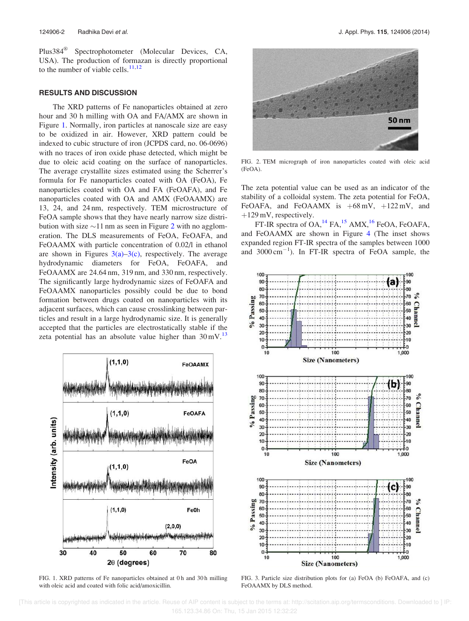Plus  $384^{\circledR}$ Spectrophotometer (Molecular Devices, CA, USA). The production of formazan is directly proportional to the number of viable cells. $11,12$ 

#### RESULTS AND DISCUSSION

The XRD patterns of Fe nanoparticles obtained at zero hour and 30 h milling with OA and FA/AMX are shown in Figure 1. Normally, iron particles at nanoscale size are easy to be oxidized in air. However, XRD pattern could be indexed to cubic structure of iron (JCPDS card, no. 06-0696) with no traces of iron oxide phase detected, which might be due to oleic acid coating on the surface of nanoparticles. The average crystallite sizes estimated using the Scherrer's formula for Fe nanoparticles coated with OA (FeOA), Fe nanoparticles coated with OA and FA (FeOAFA), and Fe nanoparticles coated with OA and AMX (FeOAAMX) are 13, 24, and 24 nm, respectively. TEM microstructure of FeOA sample shows that they have nearly narrow size distribution with size  $\sim$ 11 nm as seen in Figure 2 with no agglomeration. The DLS measurements of FeOA, FeOAFA, and FeOAAMX with particle concentration of 0.02/l in ethanol are shown in Figures  $3(a)-3(c)$ , respectively. The average hydrodynamic diameters for FeOA, FeOAFA, and FeOAAMX are 24.64 nm, 319 nm, and 330 nm, respectively. The significantly large hydrodynamic sizes of FeOAFA and FeOAAMX nanoparticles possibly could be due to bond formation between drugs coated on nanoparticles with its adjacent surfaces, which can cause crosslinking between particles and result in a large hydrodynamic size. It is generally accepted that the particles are electrostatically stable if the zeta potential has an absolute value higher than  $30 \text{ mV}$ .<sup>13</sup>



FIG. 1. XRD patterns of Fe nanoparticles obtained at 0h and 30h milling with oleic acid and coated with folic acid/amoxicillin.



FIG. 2. TEM micrograph of iron nanoparticles coated with oleic acid (FeOA).

The zeta potential value can be used as an indicator of the stability of a colloidal system. The zeta potential for FeOA, FeOAFA, and FeOAAMX is  $+68$  mV,  $+122$  mV, and  $+129$  mV, respectively.

FT-IR spectra of OA,  $^{14}$  FA,  $^{15}$  AMX,  $^{16}$  FeOA, FeOAFA, and FeOAAMX are shown in Figure 4 (The inset shows expanded region FT-IR spectra of the samples between 1000 and  $3000 \text{ cm}^{-1}$ ). In FT-IR spectra of FeOA sample, the



FIG. 3. Particle size distribution plots for (a) FeOA (b) FeOAFA, and (c) FeOAAMX by DLS method.

 [This article is copyrighted as indicated in the article. Reuse of AIP content is subject to the terms at: http://scitation.aip.org/termsconditions. Downloaded to ] IP: 165.123.34.86 On: Thu, 15 Jan 2015 12:32:22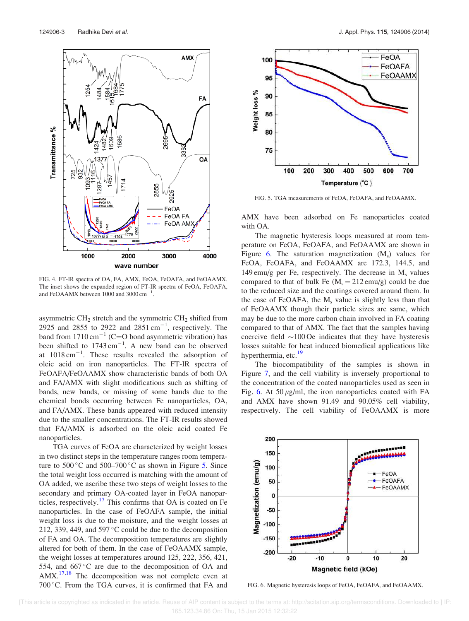

FIG. 4. FT-IR spectra of OA, FA, AMX, FeOA, FeOAFA, and FeOAAMX. The inset shows the expanded region of FT-IR spectra of FeOA, FeOAFA, and FeOAAMX between  $1000$  and  $3000 \text{ cm}^{-1}$ .

asymmetric  $CH<sub>2</sub>$  stretch and the symmetric  $CH<sub>2</sub>$  shifted from  $2925$  and  $2855$  to 2922 and  $2851 \text{ cm}^{-1}$ , respectively. The band from  $1710 \text{ cm}^{-1}$  (C=O bond asymmetric vibration) has been shifted to  $1743 \text{ cm}^{-1}$ . A new band can be observed at  $1018 \text{ cm}^{-1}$ . These results revealed the adsorption of oleic acid on iron nanoparticles. The FT-IR spectra of FeOAFA/FeOAAMX show characteristic bands of both OA and FA/AMX with slight modifications such as shifting of bands, new bands, or missing of some bands due to the chemical bonds occurring between Fe nanoparticles, OA, and FA/AMX. These bands appeared with reduced intensity due to the smaller concentrations. The FT-IR results showed that FA/AMX is adsorbed on the oleic acid coated Fe nanoparticles.

TGA curves of FeOA are characterized by weight losses in two distinct steps in the temperature ranges room temperature to  $500^{\circ}$ C and  $500-700^{\circ}$ C as shown in Figure 5. Since the total weight loss occurred is matching with the amount of OA added, we ascribe these two steps of weight losses to the secondary and primary OA-coated layer in FeOA nanoparticles, respectively.<sup>17</sup> This confirms that OA is coated on Fe nanoparticles. In the case of FeOAFA sample, the initial weight loss is due to the moisture, and the weight losses at 212, 339, 449, and  $597^{\circ}$ C could be due to the decomposition of FA and OA. The decomposition temperatures are slightly altered for both of them. In the case of FeOAAMX sample, the weight losses at temperatures around 125, 222, 356, 421, 554, and  $667^{\circ}$ C are due to the decomposition of OA and  $AMX$ <sup>17,18</sup> The decomposition was not complete even at  $700\,^{\circ}$ C. From the TGA curves, it is confirmed that FA and



FIG. 5. TGA measurements of FeOA, FeOAFA, and FeOAAMX.

AMX have been adsorbed on Fe nanoparticles coated with OA.

The magnetic hysteresis loops measured at room temperature on FeOA, FeOAFA, and FeOAAMX are shown in Figure 6. The saturation magnetization  $(M_s)$  values for FeOA, FeOAFA, and FeOAAMX are 172.3, 144.5, and 149 emu/g per Fe, respectively. The decrease in  $M_s$  values compared to that of bulk Fe  $(M_s = 212 \text{ emu/g})$  could be due to the reduced size and the coatings covered around them. In the case of FeOAFA, the  $M_s$  value is slightly less than that of FeOAAMX though their particle sizes are same, which may be due to the more carbon chain involved in FA coating compared to that of AMX. The fact that the samples having coercive field  $\sim$ 100 Oe indicates that they have hysteresis losses suitable for heat induced biomedical applications like hyperthermia, etc.<sup>19</sup>

The biocompatibility of the samples is shown in Figure 7, and the cell viability is inversely proportional to the concentration of the coated nanoparticles used as seen in Fig. 6. At 50  $\mu$ g/ml, the iron nanoparticles coated with FA and AMX have shown 91.49 and 90.05% cell viability, respectively. The cell viability of FeOAAMX is more



FIG. 6. Magnetic hysteresis loops of FeOA, FeOAFA, and FeOAAMX.